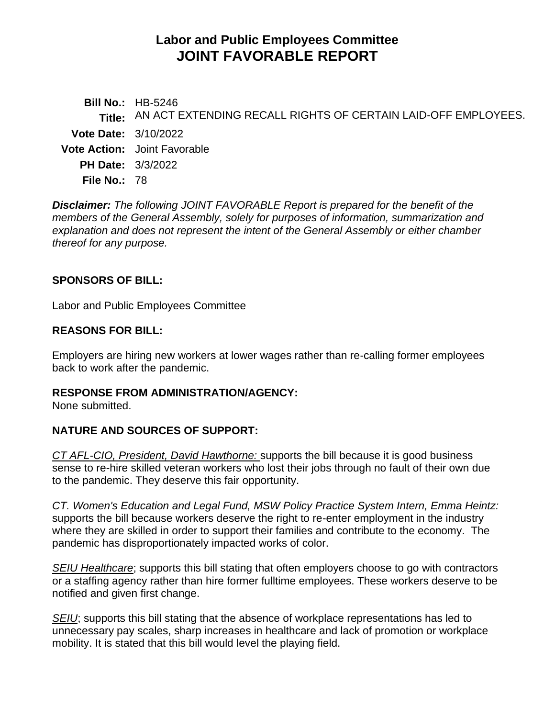# **Labor and Public Employees Committee JOINT FAVORABLE REPORT**

**Bill No.:** HB-5246 **Title:** AN ACT EXTENDING RECALL RIGHTS OF CERTAIN LAID-OFF EMPLOYEES. **Vote Date:** 3/10/2022 **Vote Action:** Joint Favorable **PH Date:** 3/3/2022 **File No.:** 78

*Disclaimer: The following JOINT FAVORABLE Report is prepared for the benefit of the members of the General Assembly, solely for purposes of information, summarization and explanation and does not represent the intent of the General Assembly or either chamber thereof for any purpose.*

### **SPONSORS OF BILL:**

Labor and Public Employees Committee

### **REASONS FOR BILL:**

Employers are hiring new workers at lower wages rather than re-calling former employees back to work after the pandemic.

### **RESPONSE FROM ADMINISTRATION/AGENCY:**

None submitted.

### **NATURE AND SOURCES OF SUPPORT:**

*CT AFL-CIO, President, David Hawthorne:* supports the bill because it is good business sense to re-hire skilled veteran workers who lost their jobs through no fault of their own due to the pandemic. They deserve this fair opportunity.

*CT. Women's Education and Legal Fund, MSW Policy Practice System Intern, Emma Heintz:*  supports the bill because workers deserve the right to re-enter employment in the industry where they are skilled in order to support their families and contribute to the economy. The pandemic has disproportionately impacted works of color.

*SEIU Healthcare*; supports this bill stating that often employers choose to go with contractors or a staffing agency rather than hire former fulltime employees. These workers deserve to be notified and given first change.

*SEIU*; supports this bill stating that the absence of workplace representations has led to unnecessary pay scales, sharp increases in healthcare and lack of promotion or workplace mobility. It is stated that this bill would level the playing field.